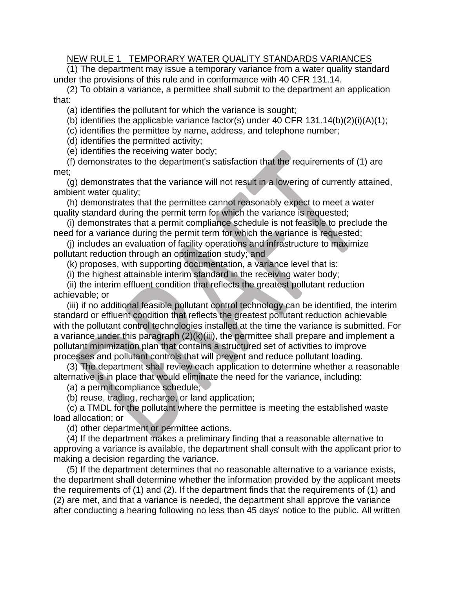## NEW RULE 1 TEMPORARY WATER QUALITY STANDARDS VARIANCES

(1) The department may issue a temporary variance from a water quality standard under the provisions of this rule and in conformance with 40 CFR 131.14.

(2) To obtain a variance, a permittee shall submit to the department an application that:

(a) identifies the pollutant for which the variance is sought;

(b) identifies the applicable variance factor(s) under 40 CFR  $131.14(b)(2)(i)(A)(1)$ ;

(c) identifies the permittee by name, address, and telephone number;

(d) identifies the permitted activity;

(e) identifies the receiving water body;

(f) demonstrates to the department's satisfaction that the requirements of (1) are met;

(g) demonstrates that the variance will not result in a lowering of currently attained, ambient water quality;

(h) demonstrates that the permittee cannot reasonably expect to meet a water quality standard during the permit term for which the variance is requested;

(i) demonstrates that a permit compliance schedule is not feasible to preclude the need for a variance during the permit term for which the variance is requested;

(j) includes an evaluation of facility operations and infrastructure to maximize pollutant reduction through an optimization study; and

(k) proposes, with supporting documentation, a variance level that is:

(i) the highest attainable interim standard in the receiving water body;

(ii) the interim effluent condition that reflects the greatest pollutant reduction achievable; or

(iii) if no additional feasible pollutant control technology can be identified, the interim standard or effluent condition that reflects the greatest pollutant reduction achievable with the pollutant control technologies installed at the time the variance is submitted. For a variance under this paragraph (2)(k)(iii), the permittee shall prepare and implement a pollutant minimization plan that contains a structured set of activities to improve processes and pollutant controls that will prevent and reduce pollutant loading.

(3) The department shall review each application to determine whether a reasonable alternative is in place that would eliminate the need for the variance, including:

(a) a permit compliance schedule;

(b) reuse, trading, recharge, or land application;

(c) a TMDL for the pollutant where the permittee is meeting the established waste load allocation; or

(d) other department or permittee actions.

(4) If the department makes a preliminary finding that a reasonable alternative to approving a variance is available, the department shall consult with the applicant prior to making a decision regarding the variance.

(5) If the department determines that no reasonable alternative to a variance exists, the department shall determine whether the information provided by the applicant meets the requirements of (1) and (2). If the department finds that the requirements of (1) and (2) are met, and that a variance is needed, the department shall approve the variance after conducting a hearing following no less than 45 days' notice to the public. All written